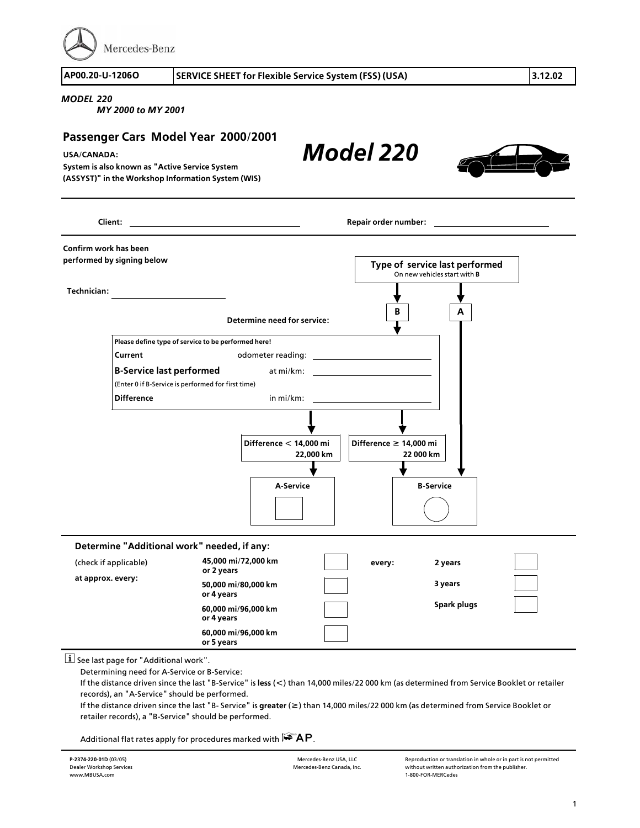Mercedes-Benz

**AP00.20>U>1206O SERVICE SHEET for Flexible Service System (FSS) (USA) 3.12.02**

*Model 220*

## *MODEL 220*

*MY 2000 to MY 2001*

## **Passenger Cars Model Year 2000/2001**

## **USA/CANADA:**

**System is also known as "Active Service System (ASSYST)" in the Workshop Information System (WIS)**

**B A Technician: Client: Repair order number: Confirm work has been performed by signing below Type of service last performed** On new vehicles start with **B Determine need for service: Please define type of service to be performed here! Current Current odometer reading: <sup>B</sup>>Service last performed** at mi/km: (Enter 0 if B-Service is performed for first time)<br>Difference **Difference** in mi/km: **Difference f 14,000 mi 22 000 km Difference < 14,000 mi 22,000 km <sup>A</sup>>Service <sup>B</sup>>Service Determine "Additional work" needed, if any: at approx. every: every: 2 years 3 years Spark plugs 45,000 mi/72,000 km or 2 years 50,000 mi/80,000 km or 4 years 60,000 mi/96,000 km or 4 years** (check if applicable) **60,000 mi/96,000 km or 5 years**

## $\lfloor \mathbf{i} \rfloor$  See last page for "Additional work".

Determining need for A>Service or B>Service:

If the distance driven since the last "B>Service" is **less** (**<**) than 14,000 miles/22 000 km (as determined from Service Booklet or retailer records), an "A>Service" should be performed.

If the distance driven since the last "B> Service" is **greater** (**f**) than 14,000 miles/22 000 km (as determined from Service Booklet or retailer records), a "B>Service" should be performed.

Additional flat rates apply for procedures marked with  $\mathbf{FAP}$ .

Reproduction or translation in whole or in part is not permitted without written authorization from the publisher. <sup>1</sup>>800>FOR>MERCedes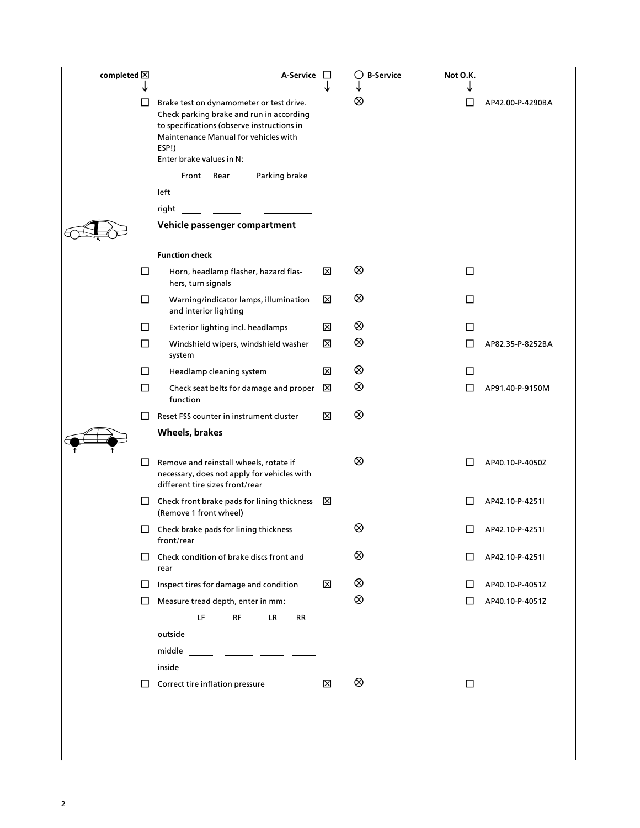| completed $\boxtimes$ |         | A-Service □                                                                                                                                                                                                     |   | $\bigcap$ B-Service | Not O.K. |                  |
|-----------------------|---------|-----------------------------------------------------------------------------------------------------------------------------------------------------------------------------------------------------------------|---|---------------------|----------|------------------|
|                       | ⊔       | Brake test on dynamometer or test drive.<br>Check parking brake and run in according<br>to specifications (observe instructions in<br>Maintenance Manual for vehicles with<br>ESP!)<br>Enter brake values in N: |   | ⊗                   | $\Box$   | AP42.00-P-4290BA |
|                       |         | Front Rear<br>Parking brake                                                                                                                                                                                     |   |                     |          |                  |
|                       |         | left                                                                                                                                                                                                            |   |                     |          |                  |
|                       |         | right                                                                                                                                                                                                           |   |                     |          |                  |
|                       |         | Vehicle passenger compartment                                                                                                                                                                                   |   |                     |          |                  |
|                       |         | <b>Function check</b>                                                                                                                                                                                           |   |                     |          |                  |
|                       | $\Box$  | Horn, headlamp flasher, hazard flas-<br>hers, turn signals                                                                                                                                                      | ⊠ | ⊗                   | □        |                  |
|                       | □       | Warning/indicator lamps, illumination<br>and interior lighting                                                                                                                                                  | ⊠ | ⊗                   | □        |                  |
|                       | □       | Exterior lighting incl. headlamps                                                                                                                                                                               | ⊠ | ⊗                   | $\Box$   |                  |
|                       | □       | Windshield wipers, windshield washer<br>system                                                                                                                                                                  | ⊠ | ⊗                   | $\Box$   | AP82.35-P-8252BA |
|                       | П       | Headlamp cleaning system                                                                                                                                                                                        | ⊠ | ⊗                   | $\perp$  |                  |
|                       | $\Box$  | Check seat belts for damage and proper<br>function                                                                                                                                                              | ⊠ | ⊗                   |          | AP91.40-P-9150M  |
|                       | $\perp$ | Reset FSS counter in instrument cluster                                                                                                                                                                         | ⊠ | ⊗                   |          |                  |
|                       |         | Wheels, brakes                                                                                                                                                                                                  |   |                     |          |                  |
|                       | $\Box$  | Remove and reinstall wheels, rotate if<br>necessary, does not apply for vehicles with<br>different tire sizes front/rear                                                                                        |   | ⊗                   |          | AP40.10-P-4050Z  |
|                       | ⊔       | Check front brake pads for lining thickness<br>(Remove 1 front wheel)                                                                                                                                           | ⊠ |                     |          | AP42.10-P-4251I  |
|                       | П       | Check brake pads for lining thickness<br>front/rear                                                                                                                                                             |   | ⊗                   |          | AP42.10-P-4251I  |
|                       | $\perp$ | Check condition of brake discs front and<br>rear                                                                                                                                                                |   | ⊗                   |          | AP42.10-P-4251I  |
|                       | $\Box$  | Inspect tires for damage and condition                                                                                                                                                                          | ⊠ | ⊗                   | $\perp$  | AP40.10-P-4051Z  |
|                       | $\Box$  | Measure tread depth, enter in mm:                                                                                                                                                                               |   | ⊗                   | $\perp$  | AP40.10-P-4051Z  |
|                       |         | LF<br><b>RF</b><br>LR.<br>RR                                                                                                                                                                                    |   |                     |          |                  |
|                       |         | outside _______ _______ ______ _____                                                                                                                                                                            |   |                     |          |                  |
|                       |         | middle ______ ______ ______ _____<br>inside                                                                                                                                                                     |   |                     |          |                  |
|                       | $\Box$  | Correct tire inflation pressure                                                                                                                                                                                 | 区 | ⊗                   | □        |                  |
|                       |         |                                                                                                                                                                                                                 |   |                     |          |                  |
|                       |         |                                                                                                                                                                                                                 |   |                     |          |                  |
|                       |         |                                                                                                                                                                                                                 |   |                     |          |                  |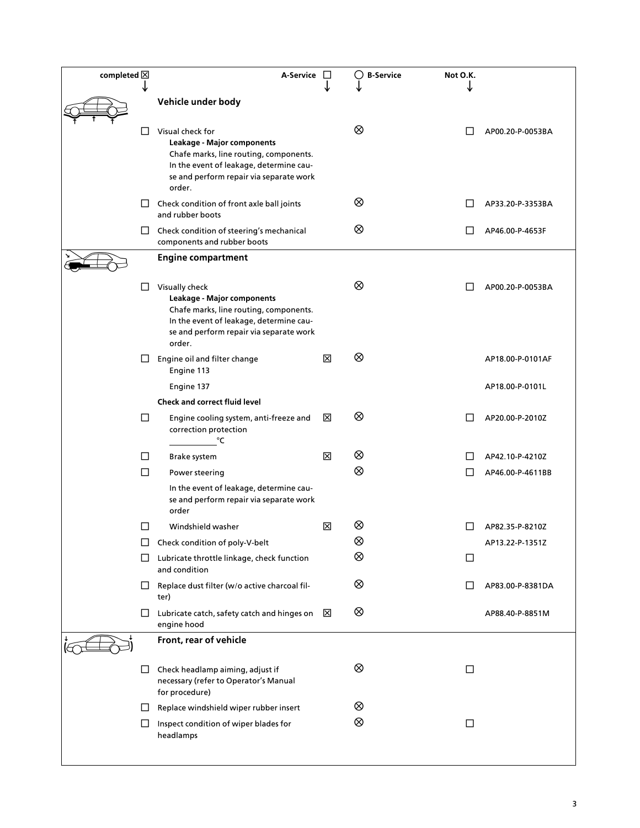| completed $\boxtimes$ |        | A-Service                                                                                                                                                                                |   | <b>B-Service</b> | Not O.K. |                  |
|-----------------------|--------|------------------------------------------------------------------------------------------------------------------------------------------------------------------------------------------|---|------------------|----------|------------------|
|                       |        | Vehicle under body                                                                                                                                                                       |   |                  |          |                  |
|                       | □      | Visual check for<br>Leakage - Major components<br>Chafe marks, line routing, components.<br>In the event of leakage, determine cau-<br>se and perform repair via separate work<br>order. |   | ⊗                |          | AP00.20-P-0053BA |
|                       |        | $\Box$ Check condition of front axle ball joints<br>and rubber boots                                                                                                                     |   | ⊗                |          | AP33.20-P-3353BA |
|                       | ப      | Check condition of steering's mechanical<br>components and rubber boots                                                                                                                  |   | ⊗                |          | AP46.00-P-4653F  |
|                       |        | <b>Engine compartment</b>                                                                                                                                                                |   |                  |          |                  |
|                       | Ш      | Visually check<br>Leakage - Major components<br>Chafe marks, line routing, components.<br>In the event of leakage, determine cau-<br>se and perform repair via separate work<br>order.   |   | ⊗                |          | AP00.20-P-0053BA |
|                       | ப      | Engine oil and filter change<br>Engine 113                                                                                                                                               | ⊠ | ⊗                |          | AP18.00-P-0101AF |
|                       |        | Engine 137                                                                                                                                                                               |   |                  |          | AP18.00-P-0101L  |
|                       | □      | <b>Check and correct fluid level</b><br>Engine cooling system, anti-freeze and<br>correction protection<br>°C                                                                            | ⊠ | ⊗                |          | AP20.00-P-2010Z  |
|                       | ப      | Brake system                                                                                                                                                                             | ⊠ | ⊗                |          | AP42.10-P-4210Z  |
|                       | $\Box$ | Power steering                                                                                                                                                                           |   | $\otimes$        |          | AP46.00-P-4611BB |
|                       |        | In the event of leakage, determine cau-<br>se and perform repair via separate work<br>order                                                                                              |   |                  |          |                  |
|                       | $\Box$ | Windshield washer                                                                                                                                                                        | ⊠ | ⊗                |          | AP82.35-P-8210Z  |
|                       | ப      | Check condition of poly-V-belt                                                                                                                                                           |   | ⊗                |          | AP13.22-P-1351Z  |
|                       | ⊔      | Lubricate throttle linkage, check function<br>and condition                                                                                                                              |   | ⊗                | ப        |                  |
|                       | ப      | Replace dust filter (w/o active charcoal fil-<br>ter)                                                                                                                                    |   | ⊗                |          | AP83.00-P-8381DA |
|                       | ⊔      | Lubricate catch, safety catch and hinges on $\boxtimes$<br>engine hood                                                                                                                   |   | ⊗                |          | AP88.40-P-8851M  |
|                       |        | Front, rear of vehicle                                                                                                                                                                   |   |                  |          |                  |
|                       | LI     | Check headlamp aiming, adjust if<br>necessary (refer to Operator's Manual<br>for procedure)                                                                                              |   | ⊗                | ப        |                  |
|                       | ப      | Replace windshield wiper rubber insert                                                                                                                                                   |   | ⊗                |          |                  |
|                       | ⊔      | Inspect condition of wiper blades for<br>headlamps                                                                                                                                       |   | ⊗                | □        |                  |
|                       |        |                                                                                                                                                                                          |   |                  |          |                  |